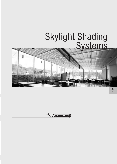# Skylight Shading<br>Systems



El SilentGliss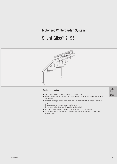# Motorised Wintergarden System

# Silent Gliss® 2195



## **Product Information**

- Electrically operated system for domestic or contract use
- Pleasing Roman blind effect with Silent Gliss technical or decorative fabrics or customers' own material
- Blinds can be single, double or triple operation from one motor to correspond to window bays
- Horizontal, sloping, bent and arched applications
- Can be operated via fixed switch or radio remote control
- Side guide profile standard colours: silver, white, bronze, gold and black
- Can be operated by fixed switch or combined with Radio Remote Control System Silent Gliss 9940/0450

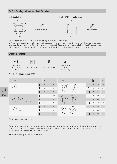## Profile, Bending and Specification Information

#### Side Guide Profile



Specification Information - download from www.silentgliss.co.uk (password required).

2195 electrically operated Wintergarden system ready assembled with motor enclosed headbox 2151 complete with drive shafts, side guide channels and cross rods for blinds. Side guide channels to be fixed at 80-100cm centres and headbox to be fixed with 3004 clamps. ......... off.........wide x .......... drop (girth) guide channels, side channels each bent .........times with cross rods at ...........cm intervals.

## **System Dimensions**



3m (single)

6m (double)

6m (triple)





6m (all systems)



25kg (all systems)



Profile 2151 for motor cover



## Maximum size and weight chart

|  | 2195              |                                                                                                                                                                                          | kg <sub>max</sub> | A              | $\sf B$ | 2195                      |                                             | $kg_{max}$ | $\mathsf{A}$   | B              |
|--|-------------------|------------------------------------------------------------------------------------------------------------------------------------------------------------------------------------------|-------------------|----------------|---------|---------------------------|---------------------------------------------|------------|----------------|----------------|
|  |                   | $[] \centering \includegraphics[width=0.47\textwidth]{images/TrDiM-Architecture.png} \caption{The 3D (top) and 4D (bottom) are shown in the left and right.} \label{TrDiM-Architecture}$ | 18                | 3 <sub>m</sub> | 6 m     | PA<br>R                   | $\hfill\Box$                                | 18         | 3 <sub>m</sub> | 6 m            |
|  | B                 | ℿ                                                                                                                                                                                        | 18                | 6 m            | 6 m     |                           | $\mathbb I$                                 | 18         | 6 m            | 6 m            |
|  |                   | $\Box$                                                                                                                                                                                   | 18                | 6 m            | 5m      |                           | $\Box$                                      | 18         | 6 <sub>m</sub> | 6 m            |
|  |                   | $\Box$                                                                                                                                                                                   | 25                | 3 <sub>m</sub> | 6 m     | B<<br>B<<br>$A_{\bullet}$ | $\begin{array}{c} \square \end{array}$      | 18         | 3 <sub>m</sub> | 6 m            |
|  | $\Delta$ max. 45° | $\Box$                                                                                                                                                                                   | 25                | 6 m            | 6 m     |                           | $\Box$                                      | 18         | 6 <sub>m</sub> | 5 <sub>m</sub> |
|  |                   | $\Box$                                                                                                                                                                                   | 25                | 6 m            | 6 m     |                           | <b>OOO</b>                                  | 18         | 6 m            | 5m             |
|  |                   | $[] \centering \includegraphics[width=0.47\textwidth]{images/TrDiM-Architecture.png} \caption{The 3D (top) and 4D (bottom) are shown in the left and right.} \label{TrDiM-Architecture}$ | 25                | 3 <sub>m</sub> | 6 m     | B<<br>R                   | $\begin{bmatrix} \phantom{-} \end{bmatrix}$ | 10         | 3 <sub>m</sub> | 4 m            |
|  |                   | $\hfill\blacksquare$                                                                                                                                                                     | 25                | 6m             | 6 m     |                           | $\mathbb I$                                 | 10         | 6 m            | 4 m            |
|  |                   | $\Box$                                                                                                                                                                                   | 25                | 6 m            | 6 m     | A<br>$A_{\bullet}$        | $\Box$                                      | 10         | 6 <sub>m</sub> | 3 <sub>m</sub> |

Sloped versions: max. inclination 45°

The system dimensions depend on the number of connected systems, the application and the total fabric weight (including cross bars: 2579 -0.146kg per m, 2248 - 0.32kg per m). Systems over 2.5m must use 2248 heavy duty cross rod. In double or treble systems where one of the systems is over 2.5m, then all covers must use 2248 cross rod.

When a full arch the system must be centre opening.

 $219!$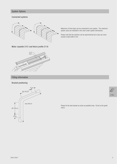# **System Options**

## **Connected systems**



Maximum of three bays can be connected to one system. The maximum system sizes are indicated in the chart under system dimensions.

Please note that the sections can be asymmetrical but a bay can never exceed a total width of 3m.

Motor cassette 2151 and Velcro profile 2116



# **Fitting Information**

**Bracket positioning** 



Please fix the last bracket as close as possible (max. 10cm) to the guide return.

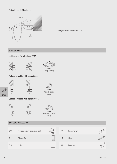## Fixing the end of the fabric



Fixing of fabric to Velcro profile 2116

# **Fitting Options**

Inside reveal fix with clamp 3825







Outside reveal fix with clamp 3065a



2195



Outside reveal fix with clamp 3066a







3065A Bracket - single  $clamp$ 

T-bracket - single clamp

# **Standard Accessories**

| 0766 | In-line connector (complete/no lead) | 2111 |
|------|--------------------------------------|------|
| 2116 | Velcro profile                       | 2145 |
| 2151 | Profile                              | 2156 |

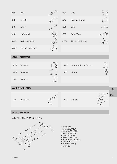| 2160                                                                                                                                                                                                                                                                                                                  | Motor                                |   | 2191  | Profile                           |                    |      |  |  |  |
|-----------------------------------------------------------------------------------------------------------------------------------------------------------------------------------------------------------------------------------------------------------------------------------------------------------------------|--------------------------------------|---|-------|-----------------------------------|--------------------|------|--|--|--|
| 2242                                                                                                                                                                                                                                                                                                                  | Connector                            |   | 2248  | Heavy duty cross rod              |                    |      |  |  |  |
| 2759                                                                                                                                                                                                                                                                                                                  | Crossrod                             |   | 3004  | Clamp                             |                    |      |  |  |  |
| 3603                                                                                                                                                                                                                                                                                                                  | Top fix bracket                      |   | 3825  | Clamp (35mm)                      |                    |      |  |  |  |
| 3065A                                                                                                                                                                                                                                                                                                                 | Bracket - single clamp               |   | 3066A | T-bracket - single clamp          |                    |      |  |  |  |
| 3066B                                                                                                                                                                                                                                                                                                                 | T-bracket - double clamp             |   |       |                                   |                    |      |  |  |  |
|                                                                                                                                                                                                                                                                                                                       | <b>Optional Accessories</b>          |   |       |                                   |                    |      |  |  |  |
| 0578                                                                                                                                                                                                                                                                                                                  | Pattress box                         |   | 0615  | Latching switch inc. pattress box | $\cdot \Box \cdot$ |      |  |  |  |
| 5736                                                                                                                                                                                                                                                                                                                  | Relay socket                         |   | 5741  | Klik plug                         |                    |      |  |  |  |
| 5742                                                                                                                                                                                                                                                                                                                  | Klik socket                          | ů |       |                                   |                    |      |  |  |  |
| <b>Useful Measurements</b>                                                                                                                                                                                                                                                                                            |                                      |   |       |                                   |                    |      |  |  |  |
| 2111                                                                                                                                                                                                                                                                                                                  | Hexagonal bar                        | ∥ | 2156  | Drive shaft                       | 4.4<br>14          | 2195 |  |  |  |
|                                                                                                                                                                                                                                                                                                                       | <b>Motors and Controls</b>           |   |       |                                   |                    |      |  |  |  |
|                                                                                                                                                                                                                                                                                                                       | Motor Silent Gliss 2160 - Single Bay |   |       |                                   |                    |      |  |  |  |
| $50\,$<br>• Torque: 6Nm<br>• Voltage: 230V/115V<br>400<br>• Frequency: 50Hz/60Hz<br>• Power: 150W/145W<br>• Current: 0.7A/1.4A<br>• Speed: 23rpm/26rpm<br>$\circledcirc$<br>60<br>• Thermal overload protection<br>• CEE Standard<br>$\mathcal{C}$<br>• Mechanical end stop<br>55<br>• Weight: 2kg<br>55 <sub>2</sub> |                                      |   |       |                                   |                    |      |  |  |  |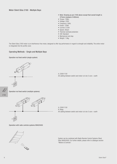- Note: Drawing as per 2160 above except that overall length is 375mm (instead of 400mm)
- Torque: 10Nm
- Voltage: 230V
- Frequency: 50Hz
- Power: 120W
- Current: 0.53A
- Speed: 26rpm
- Thermal overload protection
- CEE Standard
- Mechanical end stop
- Weight: 1.8kg

The Silent Gliss 2160 motor is an interference-free motor, designed to offer top performance in regard to strength and reliability. The entire motor is integrated into the profile cover.

## Operating Methods - Single and Multiple Bays

Operation via fixed switch (single system)



A: 230V/115V All cabling between switch and motor is to be  $3$  core + earth

2195

Operation via fixed switch (multiple systems)



A: 230V/115V R: Relay All cabling between switch and motor is to be  $3$  core + earth

Operation with radio controls systems 9940/0450



System can be combined with Radio Remote Control Systems Silent Gliss 9940/0450. For further details, please refer to catalogue section "Motors & Controls".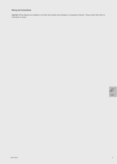# Wiring and Connections

Important: Wiring diagrams are available on the Silent Gliss website www.silentgliss.co.uk (password required). Please contact Silent Gliss for information on access.

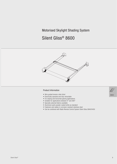# Motorised Skylight Shading System

# Silent Gliss® 8600



## **Product Information**

- Wire guided tension roller blind
- Electrically operated and fully retractable
- For sloping and horizontal glazing applications
- Suitable for applications between 0° and 360°
- Specially selected fabrics available
- Aluminium parts powder coated white as standard
- Fasteners and cables in corrosion resistant stainless steel
- Can be combined with Radio Remote Control System Silent Gliss 9940/0450

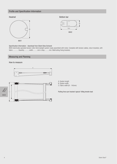# Profile and Specification Information

## Headrail



8601

## Bottom bar



#### Specification Information - download from Silent Gliss Extranet

8600 electrically operated tension roller blind skylight system ready assembled with motor. Complete with tension cables, return brackets, with fabric ........... Quantity.........., width..........mm x drop..........mm. Wall/ceiling fixing brackets.

## **Measuring and Planning**

## How to measure





- A: System length
- B: System width
- C: Fabric width (B 145mm)

Pulling force per bracket: typical 100kg tensile load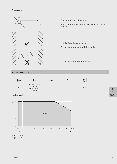System orientation

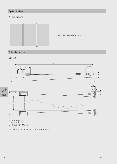# **System Options**

# Multiple systems



Each system requires its own motor.

# **Fitting Information**

Ceiling fix



A: System length<br>B: System width<br>C: Fabric width (B - 145mm)

Note: ceiling fix return pulley requires 50mm back clearance.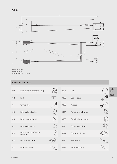

A: System length<br>B: System width<br>C: Fabric width (B - 145mm)

# **Standard Accessories**

| 0766 | In-line connector (complete/no lead)              |    | 8601 | Profile                      |      |
|------|---------------------------------------------------|----|------|------------------------------|------|
| 8602 | Profile                                           |    | 8603 | Spring set short             | 8600 |
| 8604 | Spring set long                                   |    | 8605 | Motor set                    |      |
| 8606 | Roller bracket ceiling left                       |    | 8607 | Roller bracket ceiling right |      |
| 8608 | Pulley bracket ceiling left                       | C. | 8609 | Pulley bracket ceiling right |      |
| 8611 | Roller bracket wall left                          |    | 8612 | Roller bracket wall right    |      |
| 8613 | Pulley bracket wall left or right<br>(reversible) |    | 8614 | Bottom bar pulley set        |      |
| 8615 | Bottom bar end cap set                            |    | 8616 | Wire guide set               |      |
| 8617 | Fabric insert (5mm)                               |    | 8618 | Fabric insert (6mm)          |      |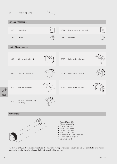



- $54$
- 
- Frequency: 60Hz / 50Hz • Power: 130W / 140W
- Current: 1.1A / 0.65A
- Speed: 18rpm / 17rpm
- Speed of travel: 7.5 cm per second
- Thermal overload protection
- Mechanical end stop

The Silent Gliss 8605 motor is an interference-free motor, designed to offer top performance in regard to strength and reliability. The entire motor is integrated in the tube. The motor will be supplied with 2.5m cable (white) with plug.

8600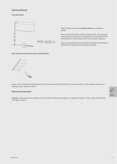## **Operating Methods**

**Fixed Wall Switch** 



Relays (5736) must be used if multiple systems are connected in parallel.

When using the Fixed Switch control for multiple blinds, when operating simultaneously the blinds may not necessarily stop at precisely the same intermediate point. Top and bottom levels can be preset in alignment.

If this is a requirement then we recommend using Radio Control Systems 9940/0450 with individual and simultaneous switching.

Radio Remote Control Systems Silent Gliss 9940/0450



System can be combined with Radio Remote Control Systems Silent Gliss 9940/0450 with minimum wiring. For further details, please refer to catalogue section "Motors & Controls".

## **Wiring and Connections**

Important: Wiring diagrams are available on the Silent Gliss website www.silentgliss.co.uk (password required). Please contact Silent Gliss for information on access.

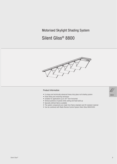# Motorised Skylight Shading System

# Silent Gliss® 8800



## **Product Information**

- A unique and technically advanced heavy duty glass roof shading system
- Panel tilting and retracting technique
- Suitable for applications up to 30° from horizontal
- Vertical positions of panels limits soiling and heat build up
- Specially defined fabrics available
- The system components are made from flame retardant and UV-resistant material
- Can be combined with Radio Remote Control System Silent Gliss 9940/0450

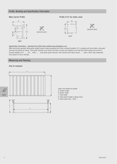## Profile, Bending and Specification Information

## **Main Carrier Profile**

Profile 2151 for motor cover



## Specification Information - download from Silent Gliss website www.silentgliss.co.uk

8800 electrically operated tilting panel skylight system ready assembled with motor enclosed headbox 2151 complete with drive shafts, side guide channels and panels for blinds. Side guide channels to be fixed at 60-80cm centres and headbox to be fixed with 3004 clamps and screw fix through headbox 2151. ...... off......wide x .......drop (girth) guide channels, side channels with fabric panels ....... wide x 36cm drop suspended from system at 32cm intervals.

## **Measuring and Planning**

#### How to measure



Sides must always be parallel

- A: System length
- B: System width
- C: Panel width
- D: Total system height is always 52cm
- E: Fabric panel drop 36cm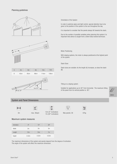



| А | 4 <sub>m</sub> | 6m   | 8 <sub>m</sub> | 10 <sub>m</sub>   | 12m          |
|---|----------------|------|----------------|-------------------|--------------|
| B | 43cm           | 65cm | 88cm           | 114 <sub>cm</sub> | <b>136cm</b> |
|   |                |      |                |                   |              |



Orientation of the System

In order to optimize glare and light control, special attention has to be given to the position of the system to the sun throughout the day.

It is important to consider that the panels always tilt towards the stack.

Due to the number of possible variables when planning this system it is important that advice is sought from a Silent Gliss trained technician.

#### Motor Positioning

With sloping systems, the motor is always positioned at the highest point of the system.

#### **Stack Sizes**

Stack sizes are variable: As the length (A) increases, so does the stack  $(B)$ .

#### Tilting on a sloping system

Suitable for applications up to 30° from horizontal. The maximum tilting of the panel from its vertical position is 85°.

# 8800

## **System and Panel Dimensions**





max. 36sqm



12m (0° inclination) 7m (30° inclination)





67kg

Max panels: 36

## Maximum system measures

| Inclination | $0^{\circ}$     | 15 <sup>o</sup> | 30 <sup>o</sup> |  |
|-------------|-----------------|-----------------|-----------------|--|
| Width       | 3m              | 3 <sub>m</sub>  | 3 <sub>m</sub>  |  |
| Length      | 12 <sub>m</sub> | 10 <sub>m</sub> | 7 <sub>m</sub>  |  |
| height      | 0.52m           | 0.52m           | 0.52m           |  |

The maximum dimensions of the system and panels depend from the degree of inclination. The angle of the system will affect the maximum dimension.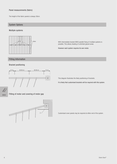## Panel measurements (fabric)

The height of the fabric panels is always 36cm.

## **System Options**

Multiple systems



With intermediate bracket 8855 parallel fixing of multiple systems is possible. This allows shading of unlimited glazed areas.

However each system requires its own motor.

# **Fitting Information**

## **Bracket positioning**



This diagram illustrates the likely positioning of brackets.

It is likely that customised brackets will be required with this system.

8800

Fitting of motor and covering of motor gap



Customised cover panels may be required at either end of the system.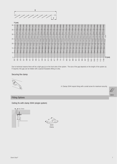

Due to technical reasons there will be a light gap (y) on the front side of the system. The size of the gap depends on the length of the system (x). If required, this gap can be hidden with a special faceplate (fitting on site).

## Securing the clamp



A: Clamps 3044 require fixing with a small screw for maximum security.



**Fitting Options** 

Ceiling fix with clamp 3044 (single system)



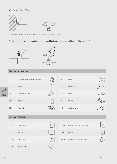## Wall fix with clamp 3044



Clamp 3044 requires additional fixing with a small screw for maximum security.

## Parallel ceiling fix with Intermediate support combination 8855 and clamp 3044 (multiple systems)



79  $50 \times 100$ 8855 Intermediate support bracket

# Standard Accessories

8861 Distance plate

| 8800 | 0766 | In-line connector (complete/no lead) |                                                                                                                                             | 1003 | Profile                           |                    |
|------|------|--------------------------------------|---------------------------------------------------------------------------------------------------------------------------------------------|------|-----------------------------------|--------------------|
|      | 2151 | Profile                              |                                                                                                                                             | 2242 | Connector                         |                    |
|      | 3014 | Endcover (22.4mm)                    |                                                                                                                                             | 3044 | Clamp                             |                    |
|      | 8801 | Profile                              |                                                                                                                                             | 8834 | Wedge                             |                    |
|      | 8837 | Panel guide                          |                                                                                                                                             | 8840 | Tensioner comb.                   |                    |
|      |      |                                      |                                                                                                                                             |      |                                   |                    |
|      |      | <b>Optional Accessories</b>          |                                                                                                                                             |      |                                   |                    |
|      |      |                                      |                                                                                                                                             |      |                                   |                    |
|      | 0578 | Pattress box                         |                                                                                                                                             | 0615 | Latching switch inc. pattress box | $\cdot \Box \cdot$ |
|      | 5736 | Relay socket                         |                                                                                                                                             | 5741 | Klik plug                         |                    |
|      | 5742 | Klik socket                          | $\begin{bmatrix} \begin{matrix} 0 \\ 0 \end{matrix} \end{bmatrix} \begin{bmatrix} \begin{matrix} 0 \\ 0 \end{matrix} \end{bmatrix}$<br>. ଜା | 8855 | Intermediate support bracket      |                    |

3ILENTæ'LISS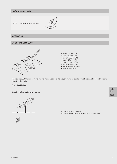## **Useful Measurements**

8855 Intermediate support bracket



## Motorisation

## Motor Silent Gliss 9009



- $\bullet$  Torque: 12Nm / 10Nm
- Voltage: 120V / 230V
- Frequency: 60Hz / 50Hz
- Power: 150W / 150W
- Current: 1.35A / 0.66A
- Speed: 30rpm / 35rpm
- Thermal overload protection
- Mechanical end stop

The Silent Gliss 9009 motor is an interference-free motor, designed to offer top performance in regard to strength and reliability. The entire motor is integrated in the profile.

## **Operating Methods**

Operation via fixed switch (single system)



A: Switch and 120/230V supply All cabling between switch and motor is to be  $3$  core + earth